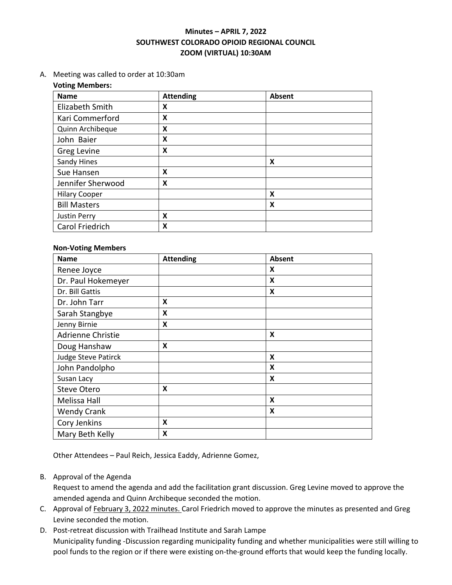# **Minutes – APRIL 7, 2022 SOUTHWEST COLORADO OPIOID REGIONAL COUNCIL ZOOM (VIRTUAL) 10:30AM**

A. Meeting was called to order at 10:30am

#### **Voting Members:**

| <b>Name</b>          | <b>Attending</b> | Absent |
|----------------------|------------------|--------|
| Elizabeth Smith      | x                |        |
| Kari Commerford      | X                |        |
| Quinn Archibeque     | X                |        |
| John Baier           | X                |        |
| Greg Levine          | X                |        |
| Sandy Hines          |                  | X      |
| Sue Hansen           | X                |        |
| Jennifer Sherwood    | X                |        |
| <b>Hilary Cooper</b> |                  | X      |
| <b>Bill Masters</b>  |                  | X      |
| Justin Perry         | X                |        |
| Carol Friedrich      | Χ                |        |

#### **Non-Voting Members**

| <b>Name</b>         | <b>Attending</b> | Absent       |  |
|---------------------|------------------|--------------|--|
| Renee Joyce         |                  | X            |  |
| Dr. Paul Hokemeyer  |                  | $\mathsf{x}$ |  |
| Dr. Bill Gattis     |                  | X            |  |
| Dr. John Tarr       | X                |              |  |
| Sarah Stangbye      | X                |              |  |
| Jenny Birnie        | X                |              |  |
| Adrienne Christie   |                  | X            |  |
| Doug Hanshaw        | X                |              |  |
| Judge Steve Patirck |                  | X            |  |
| John Pandolpho      |                  | X            |  |
| Susan Lacy          |                  | X            |  |
| <b>Steve Otero</b>  | X                |              |  |
| Melissa Hall        |                  | X            |  |
| <b>Wendy Crank</b>  |                  | X            |  |
| Cory Jenkins        | X                |              |  |
| Mary Beth Kelly     | X                |              |  |

Other Attendees – Paul Reich, Jessica Eaddy, Adrienne Gomez,

### B. Approval of the Agenda

Request to amend the agenda and add the facilitation grant discussion. Greg Levine moved to approve the amended agenda and Quinn Archibeque seconded the motion.

- C. Approval o[f February 3, 2022 minutes.](https://swcorc.com/wp-content/uploads/2022/02/Minutes-2.3.2022.pdf) Carol Friedrich moved to approve the minutes as presented and Greg Levine seconded the motion.
- D. Post-retreat discussion with Trailhead Institute and Sarah Lampe Municipality funding -Discussion regarding municipality funding and whether municipalities were still willing to pool funds to the region or if there were existing on-the-ground efforts that would keep the funding locally.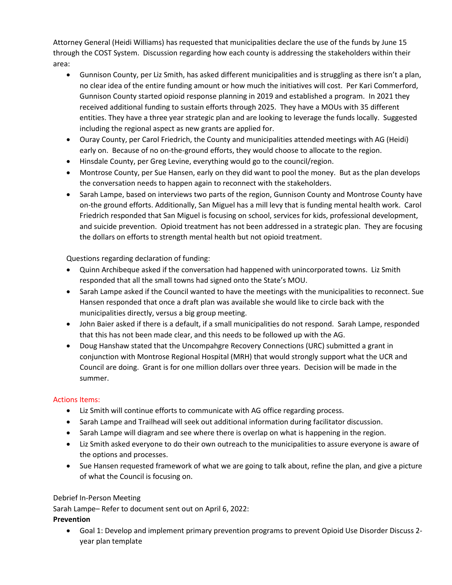Attorney General (Heidi Williams) has requested that municipalities declare the use of the funds by June 15 through the COST System. Discussion regarding how each county is addressing the stakeholders within their area:

- Gunnison County, per Liz Smith, has asked different municipalities and is struggling as there isn't a plan, no clear idea of the entire funding amount or how much the initiatives will cost. Per Kari Commerford, Gunnison County started opioid response planning in 2019 and established a program. In 2021 they received additional funding to sustain efforts through 2025. They have a MOUs with 35 different entities. They have a three year strategic plan and are looking to leverage the funds locally. Suggested including the regional aspect as new grants are applied for.
- Ouray County, per Carol Friedrich, the County and municipalities attended meetings with AG (Heidi) early on. Because of no on-the-ground efforts, they would choose to allocate to the region.
- Hinsdale County, per Greg Levine, everything would go to the council/region.
- Montrose County, per Sue Hansen, early on they did want to pool the money. But as the plan develops the conversation needs to happen again to reconnect with the stakeholders.
- Sarah Lampe, based on interviews two parts of the region, Gunnison County and Montrose County have on-the ground efforts. Additionally, San Miguel has a mill levy that is funding mental health work. Carol Friedrich responded that San Miguel is focusing on school, services for kids, professional development, and suicide prevention. Opioid treatment has not been addressed in a strategic plan. They are focusing the dollars on efforts to strength mental health but not opioid treatment.

Questions regarding declaration of funding:

- Quinn Archibeque asked if the conversation had happened with unincorporated towns. Liz Smith responded that all the small towns had signed onto the State's MOU.
- Sarah Lampe asked if the Council wanted to have the meetings with the municipalities to reconnect. Sue Hansen responded that once a draft plan was available she would like to circle back with the municipalities directly, versus a big group meeting.
- John Baier asked if there is a default, if a small municipalities do not respond. Sarah Lampe, responded that this has not been made clear, and this needs to be followed up with the AG.
- Doug Hanshaw stated that the Uncompahgre Recovery Connections (URC) submitted a grant in conjunction with Montrose Regional Hospital (MRH) that would strongly support what the UCR and Council are doing. Grant is for one million dollars over three years. Decision will be made in the summer.

# Actions Items:

- Liz Smith will continue efforts to communicate with AG office regarding process.
- Sarah Lampe and Trailhead will seek out additional information during facilitator discussion.
- Sarah Lampe will diagram and see where there is overlap on what is happening in the region.
- Liz Smith asked everyone to do their own outreach to the municipalities to assure everyone is aware of the options and processes.
- Sue Hansen requested framework of what we are going to talk about, refine the plan, and give a picture of what the Council is focusing on.

## Debrief In-Person Meeting

Sarah Lampe– Refer to document sent out on April 6, 2022:

## **Prevention**

• Goal 1: Develop and implement primary prevention programs to prevent Opioid Use Disorder Discuss 2 year plan template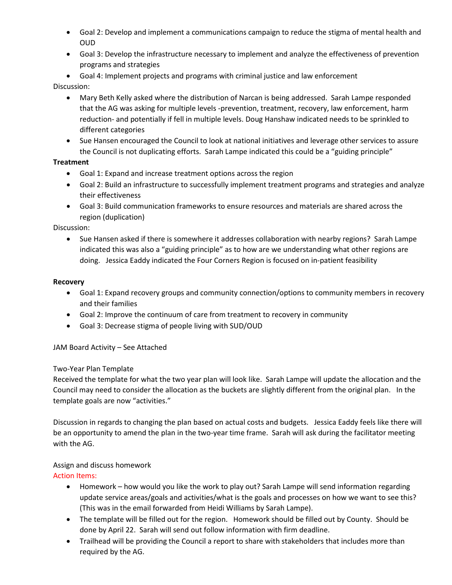- Goal 2: Develop and implement a communications campaign to reduce the stigma of mental health and OUD
- Goal 3: Develop the infrastructure necessary to implement and analyze the effectiveness of prevention programs and strategies
- Goal 4: Implement projects and programs with criminal justice and law enforcement

## Discussion:

- Mary Beth Kelly asked where the distribution of Narcan is being addressed. Sarah Lampe responded that the AG was asking for multiple levels -prevention, treatment, recovery, law enforcement, harm reduction- and potentially if fell in multiple levels. Doug Hanshaw indicated needs to be sprinkled to different categories
- Sue Hansen encouraged the Council to look at national initiatives and leverage other services to assure the Council is not duplicating efforts. Sarah Lampe indicated this could be a "guiding principle"

## **Treatment**

- Goal 1: Expand and increase treatment options across the region
- Goal 2: Build an infrastructure to successfully implement treatment programs and strategies and analyze their effectiveness
- Goal 3: Build communication frameworks to ensure resources and materials are shared across the region (duplication)

# Discussion:

• Sue Hansen asked if there is somewhere it addresses collaboration with nearby regions? Sarah Lampe indicated this was also a "guiding principle" as to how are we understanding what other regions are doing. Jessica Eaddy indicated the Four Corners Region is focused on in-patient feasibility

#### **Recovery**

- Goal 1: Expand recovery groups and community connection/options to community members in recovery and their families
- Goal 2: Improve the continuum of care from treatment to recovery in community
- Goal 3: Decrease stigma of people living with SUD/OUD

## JAM Board Activity – See Attached

## Two-Year Plan Template

Received the template for what the two year plan will look like. Sarah Lampe will update the allocation and the Council may need to consider the allocation as the buckets are slightly different from the original plan. In the template goals are now "activities."

Discussion in regards to changing the plan based on actual costs and budgets. Jessica Eaddy feels like there will be an opportunity to amend the plan in the two-year time frame. Sarah will ask during the facilitator meeting with the AG.

## Assign and discuss homework

## Action Items:

- Homework how would you like the work to play out? Sarah Lampe will send information regarding update service areas/goals and activities/what is the goals and processes on how we want to see this? (This was in the email forwarded from Heidi Williams by Sarah Lampe).
- The template will be filled out for the region. Homework should be filled out by County. Should be done by April 22. Sarah will send out follow information with firm deadline.
- Trailhead will be providing the Council a report to share with stakeholders that includes more than required by the AG.